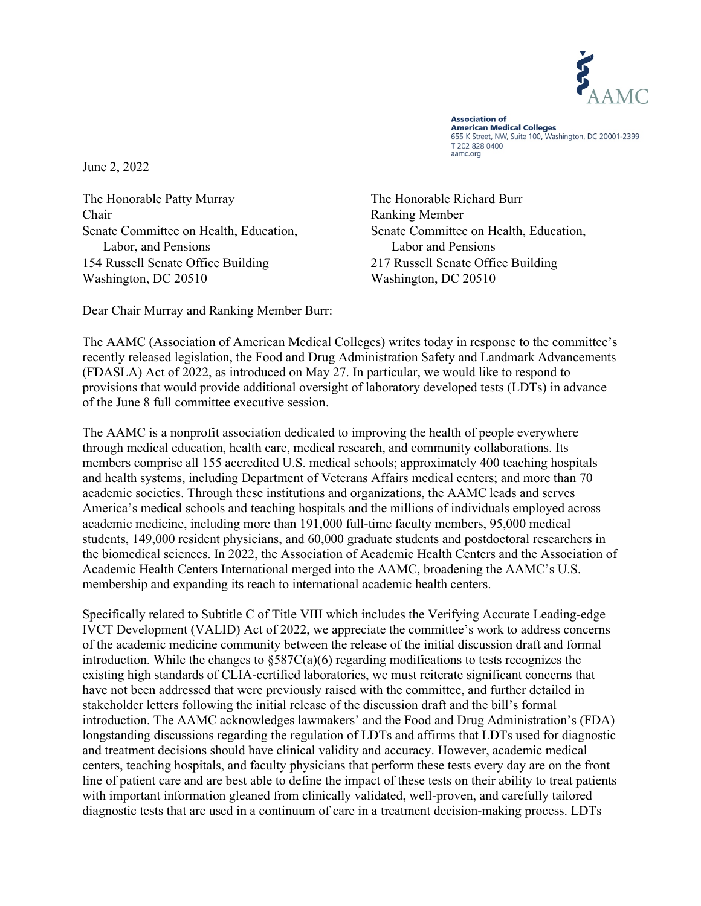

**Association of American Medical Colleges** 655 K Street, NW, Suite 100, Washington, DC 20001-2399 T 202 828 0400 aamc.org

June 2, 2022

The Honorable Patty Murray Chair Senate Committee on Health, Education, Labor, and Pensions 154 Russell Senate Office Building Washington, DC 20510

The Honorable Richard Burr Ranking Member Senate Committee on Health, Education, Labor and Pensions 217 Russell Senate Office Building Washington, DC 20510

Dear Chair Murray and Ranking Member Burr:

The AAMC (Association of American Medical Colleges) writes today in response to the committee's recently released legislation, the Food and Drug Administration Safety and Landmark Advancements (FDASLA) Act of 2022, as introduced on May 27. In particular, we would like to respond to provisions that would provide additional oversight of laboratory developed tests (LDTs) in advance of the June 8 full committee executive session.

The AAMC is a nonprofit association dedicated to improving the health of people everywhere through medical education, health care, medical research, and community collaborations. Its members comprise all 155 accredited U.S. medical schools; approximately 400 teaching hospitals and health systems, including Department of Veterans Affairs medical centers; and more than 70 academic societies. Through these institutions and organizations, the AAMC leads and serves America's medical schools and teaching hospitals and the millions of individuals employed across academic medicine, including more than 191,000 full-time faculty members, 95,000 medical students, 149,000 resident physicians, and 60,000 graduate students and postdoctoral researchers in the biomedical sciences. In 2022, the Association of Academic Health Centers and the Association of Academic Health Centers International merged into the AAMC, broadening the AAMC's U.S. membership and expanding its reach to international academic health centers.

Specifically related to Subtitle C of Title VIII which includes the Verifying Accurate Leading-edge IVCT Development (VALID) Act of 2022, we appreciate the committee's work to address concerns of the academic medicine community between the release of the initial discussion draft and formal introduction. While the changes to §587C(a)(6) regarding modifications to tests recognizes the existing high standards of CLIA-certified laboratories, we must reiterate significant concerns that have not been addressed that were previously raised with the committee, and further detailed in stakeholder letters following the initial release of the discussion draft and the bill's formal introduction. The AAMC acknowledges lawmakers' and the Food and Drug Administration's (FDA) longstanding discussions regarding the regulation of LDTs and affirms that LDTs used for diagnostic and treatment decisions should have clinical validity and accuracy. However, academic medical centers, teaching hospitals, and faculty physicians that perform these tests every day are on the front line of patient care and are best able to define the impact of these tests on their ability to treat patients with important information gleaned from clinically validated, well-proven, and carefully tailored diagnostic tests that are used in a continuum of care in a treatment decision-making process. LDTs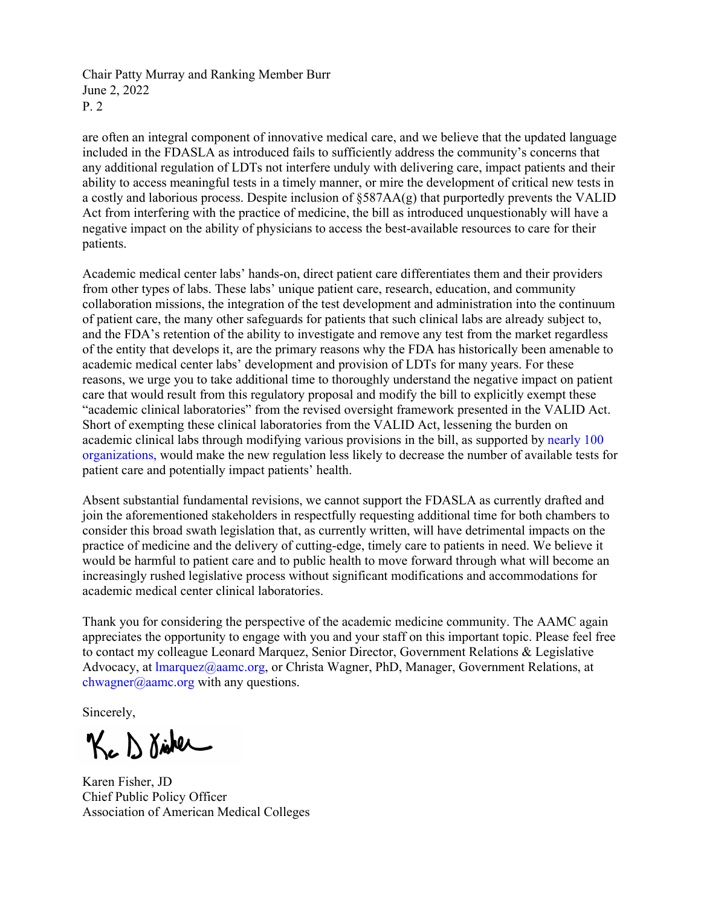Chair Patty Murray and Ranking Member Burr June 2, 2022 P. 2

are often an integral component of innovative medical care, and we believe that the updated language included in the FDASLA as introduced fails to sufficiently address the community's concerns that any additional regulation of LDTs not interfere unduly with delivering care, impact patients and their ability to access meaningful tests in a timely manner, or mire the development of critical new tests in a costly and laborious process. Despite inclusion of §587AA(g) that purportedly prevents the VALID Act from interfering with the practice of medicine, the bill as introduced unquestionably will have a negative impact on the ability of physicians to access the best-available resources to care for their patients.

Academic medical center labs' hands-on, direct patient care differentiates them and their providers from other types of labs. These labs' unique patient care, research, education, and community collaboration missions, the integration of the test development and administration into the continuum of patient care, the many other safeguards for patients that such clinical labs are already subject to, and the FDA's retention of the ability to investigate and remove any test from the market regardless of the entity that develops it, are the primary reasons why the FDA has historically been amenable to academic medical center labs' development and provision of LDTs for many years. For these reasons, we urge you to take additional time to thoroughly understand the negative impact on patient care that would result from this regulatory proposal and modify the bill to explicitly exempt these "academic clinical laboratories" from the revised oversight framework presented in the VALID Act. Short of exempting these clinical laboratories from the VALID Act, lessening the burden on academic clinical labs through modifying various provisions in the bill, as supported by [nearly 100](https://www.aamc.org/media/61076/download)  [organizations,](https://www.aamc.org/media/61076/download) would make the new regulation less likely to decrease the number of available tests for patient care and potentially impact patients' health.

Absent substantial fundamental revisions, we cannot support the FDASLA as currently drafted and join the aforementioned stakeholders in respectfully requesting additional time for both chambers to consider this broad swath legislation that, as currently written, will have detrimental impacts on the practice of medicine and the delivery of cutting-edge, timely care to patients in need. We believe it would be harmful to patient care and to public health to move forward through what will become an increasingly rushed legislative process without significant modifications and accommodations for academic medical center clinical laboratories.

Thank you for considering the perspective of the academic medicine community. The AAMC again appreciates the opportunity to engage with you and your staff on this important topic. Please feel free to contact my colleague Leonard Marquez, Senior Director, Government Relations & Legislative Advocacy, at *Imarquez@aamc.org*, or Christa Wagner, PhD, Manager, Government Relations, at [chwagner@aamc.org](mailto:chwagner@aamc.org) with any questions.

Sincerely,

Kc D disker

Karen Fisher, JD Chief Public Policy Officer Association of American Medical Colleges